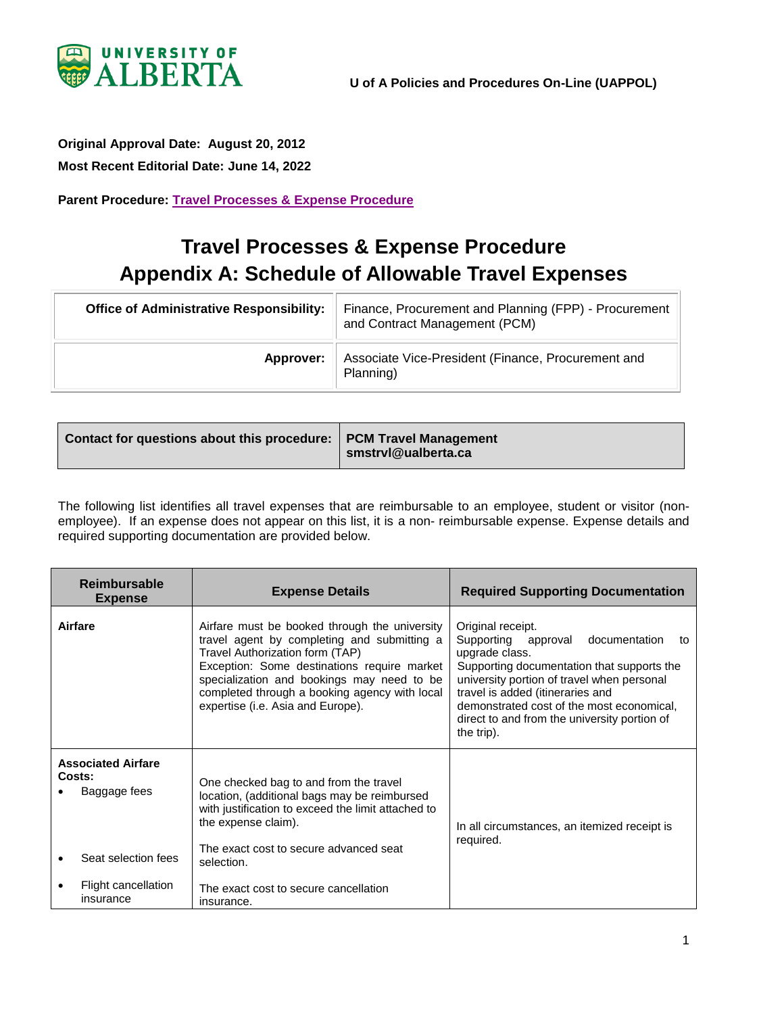

## <span id="page-0-0"></span>**Original Approval Date: August 20, 2012**

**Most Recent Editorial Date: June 14, 2022**

**Parent Procedure: [Travel Processes & Expense Procedure](https://policiesonline.ualberta.ca/PoliciesProcedures/Procedures/Travel%20Processes%20and%20Expense%20Procedure.pdf#search=travel%20processes)**

## **Travel Processes & Expense Procedure Appendix A: Schedule of Allowable Travel Expenses**

| <b>Office of Administrative Responsibility:</b> | Finance, Procurement and Planning (FPP) - Procurement<br>and Contract Management (PCM) |
|-------------------------------------------------|----------------------------------------------------------------------------------------|
| Approver:                                       | Associate Vice-President (Finance, Procurement and<br>Planning)                        |

| Contact for questions about this procedure:   PCM Travel Management | smstrvl@ualberta.ca |
|---------------------------------------------------------------------|---------------------|
|---------------------------------------------------------------------|---------------------|

The following list identifies all travel expenses that are reimbursable to an employee, student or visitor (nonemployee). If an expense does not appear on this list, it is a non- reimbursable expense. Expense details and required supporting documentation are provided below.

| <b>Reimbursable</b><br><b>Expense</b>               | <b>Expense Details</b>                                                                                                                                                                                                                                                                                             | <b>Required Supporting Documentation</b>                                                                                                                                                                                                                                                                                     |
|-----------------------------------------------------|--------------------------------------------------------------------------------------------------------------------------------------------------------------------------------------------------------------------------------------------------------------------------------------------------------------------|------------------------------------------------------------------------------------------------------------------------------------------------------------------------------------------------------------------------------------------------------------------------------------------------------------------------------|
| Airfare                                             | Airfare must be booked through the university<br>travel agent by completing and submitting a<br>Travel Authorization form (TAP)<br>Exception: Some destinations require market<br>specialization and bookings may need to be<br>completed through a booking agency with local<br>expertise (i.e. Asia and Europe). | Original receipt.<br>Supporting approval<br>documentation<br>to<br>upgrade class.<br>Supporting documentation that supports the<br>university portion of travel when personal<br>travel is added (itineraries and<br>demonstrated cost of the most economical,<br>direct to and from the university portion of<br>the trip). |
| <b>Associated Airfare</b><br>Costs:<br>Baggage fees | One checked bag to and from the travel<br>location, (additional bags may be reimbursed<br>with justification to exceed the limit attached to<br>the expense claim).                                                                                                                                                | In all circumstances, an itemized receipt is<br>required.                                                                                                                                                                                                                                                                    |
| Seat selection fees                                 | The exact cost to secure advanced seat<br>selection.                                                                                                                                                                                                                                                               |                                                                                                                                                                                                                                                                                                                              |
| Flight cancellation<br>insurance                    | The exact cost to secure cancellation<br>insurance.                                                                                                                                                                                                                                                                |                                                                                                                                                                                                                                                                                                                              |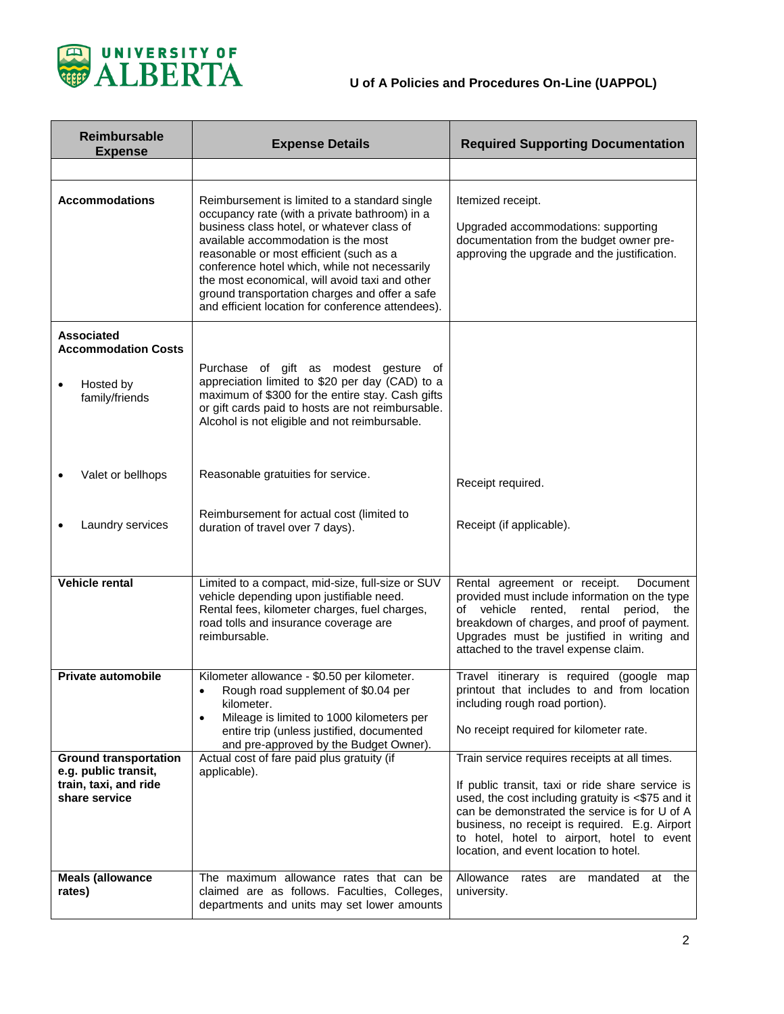

| <b>Reimbursable</b><br><b>Expense</b>                                                          | <b>Expense Details</b>                                                                                                                                                                                                                                                                                                                                                                                                                   | <b>Required Supporting Documentation</b>                                                                                                                                                                                                                                                                                                          |
|------------------------------------------------------------------------------------------------|------------------------------------------------------------------------------------------------------------------------------------------------------------------------------------------------------------------------------------------------------------------------------------------------------------------------------------------------------------------------------------------------------------------------------------------|---------------------------------------------------------------------------------------------------------------------------------------------------------------------------------------------------------------------------------------------------------------------------------------------------------------------------------------------------|
|                                                                                                |                                                                                                                                                                                                                                                                                                                                                                                                                                          |                                                                                                                                                                                                                                                                                                                                                   |
| <b>Accommodations</b>                                                                          | Reimbursement is limited to a standard single<br>occupancy rate (with a private bathroom) in a<br>business class hotel, or whatever class of<br>available accommodation is the most<br>reasonable or most efficient (such as a<br>conference hotel which, while not necessarily<br>the most economical, will avoid taxi and other<br>ground transportation charges and offer a safe<br>and efficient location for conference attendees). | Itemized receipt.<br>Upgraded accommodations: supporting<br>documentation from the budget owner pre-<br>approving the upgrade and the justification.                                                                                                                                                                                              |
| <b>Associated</b><br><b>Accommodation Costs</b><br>Hosted by<br>family/friends                 | Purchase of gift as modest gesture of<br>appreciation limited to \$20 per day (CAD) to a<br>maximum of \$300 for the entire stay. Cash gifts<br>or gift cards paid to hosts are not reimbursable.<br>Alcohol is not eligible and not reimbursable.                                                                                                                                                                                       |                                                                                                                                                                                                                                                                                                                                                   |
| Valet or bellhops                                                                              | Reasonable gratuities for service.                                                                                                                                                                                                                                                                                                                                                                                                       | Receipt required.                                                                                                                                                                                                                                                                                                                                 |
| Laundry services                                                                               | Reimbursement for actual cost (limited to<br>duration of travel over 7 days).                                                                                                                                                                                                                                                                                                                                                            | Receipt (if applicable).                                                                                                                                                                                                                                                                                                                          |
| Vehicle rental                                                                                 | Limited to a compact, mid-size, full-size or SUV<br>vehicle depending upon justifiable need.<br>Rental fees, kilometer charges, fuel charges,<br>road tolls and insurance coverage are<br>reimbursable.                                                                                                                                                                                                                                  | Rental agreement or receipt.<br>Document<br>provided must include information on the type<br>rented, rental period,<br>of vehicle<br>the<br>breakdown of charges, and proof of payment.<br>Upgrades must be justified in writing and<br>attached to the travel expense claim.                                                                     |
| <b>Private automobile</b>                                                                      | Kilometer allowance - \$0.50 per kilometer.<br>Rough road supplement of \$0.04 per<br>$\bullet$<br>kilometer.<br>Mileage is limited to 1000 kilometers per<br>$\bullet$<br>entire trip (unless justified, documented<br>and pre-approved by the Budget Owner).                                                                                                                                                                           | Travel itinerary is required (google map<br>printout that includes to and from location<br>including rough road portion).<br>No receipt required for kilometer rate.                                                                                                                                                                              |
| <b>Ground transportation</b><br>e.g. public transit,<br>train, taxi, and ride<br>share service | Actual cost of fare paid plus gratuity (if<br>applicable).                                                                                                                                                                                                                                                                                                                                                                               | Train service requires receipts at all times.<br>If public transit, taxi or ride share service is<br>used, the cost including gratuity is <\$75 and it<br>can be demonstrated the service is for U of A<br>business, no receipt is required. E.g. Airport<br>to hotel, hotel to airport, hotel to event<br>location, and event location to hotel. |
| <b>Meals (allowance</b><br>rates)                                                              | The maximum allowance rates that can be<br>claimed are as follows. Faculties, Colleges,<br>departments and units may set lower amounts                                                                                                                                                                                                                                                                                                   | Allowance<br>mandated<br>at the<br>rates<br>are<br>university.                                                                                                                                                                                                                                                                                    |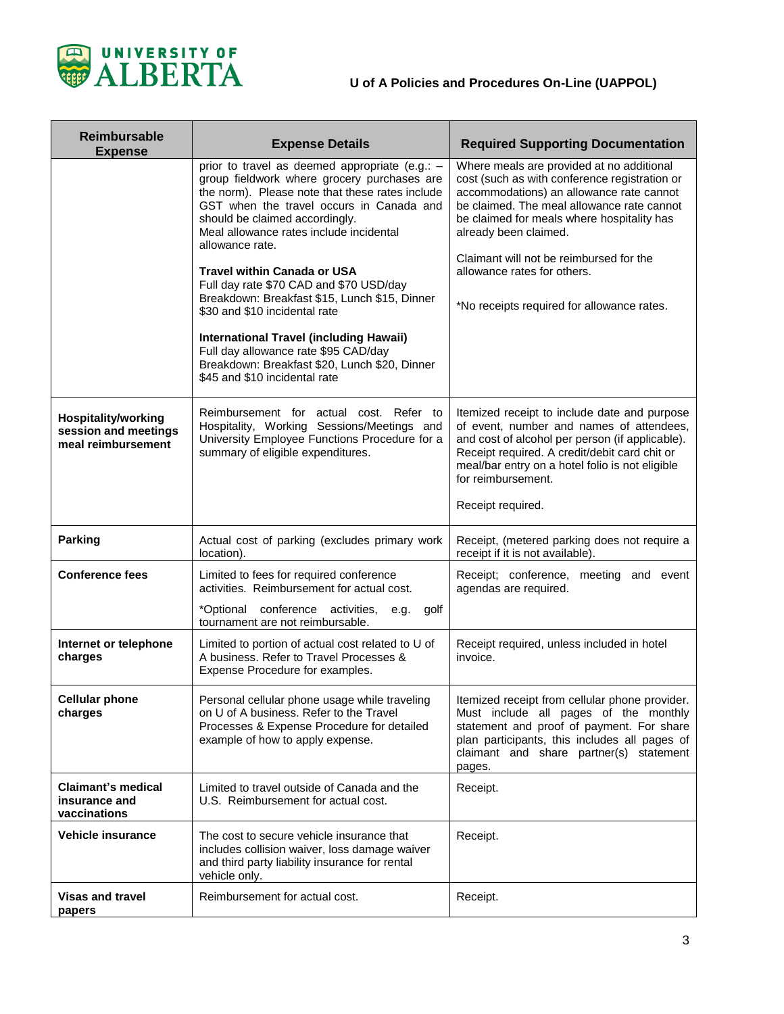

 $\blacksquare$ 

| <b>Reimbursable</b><br><b>Expense</b>                                    | <b>Expense Details</b>                                                                                                                                                                                                                                                                                                                                                                                                                                                                                                                                                                                                                      | <b>Required Supporting Documentation</b>                                                                                                                                                                                                                                                                                                                                            |
|--------------------------------------------------------------------------|---------------------------------------------------------------------------------------------------------------------------------------------------------------------------------------------------------------------------------------------------------------------------------------------------------------------------------------------------------------------------------------------------------------------------------------------------------------------------------------------------------------------------------------------------------------------------------------------------------------------------------------------|-------------------------------------------------------------------------------------------------------------------------------------------------------------------------------------------------------------------------------------------------------------------------------------------------------------------------------------------------------------------------------------|
|                                                                          | prior to travel as deemed appropriate (e.g.: -<br>group fieldwork where grocery purchases are<br>the norm). Please note that these rates include<br>GST when the travel occurs in Canada and<br>should be claimed accordingly.<br>Meal allowance rates include incidental<br>allowance rate.<br><b>Travel within Canada or USA</b><br>Full day rate \$70 CAD and \$70 USD/day<br>Breakdown: Breakfast \$15, Lunch \$15, Dinner<br>\$30 and \$10 incidental rate<br><b>International Travel (including Hawaii)</b><br>Full day allowance rate \$95 CAD/day<br>Breakdown: Breakfast \$20, Lunch \$20, Dinner<br>\$45 and \$10 incidental rate | Where meals are provided at no additional<br>cost (such as with conference registration or<br>accommodations) an allowance rate cannot<br>be claimed. The meal allowance rate cannot<br>be claimed for meals where hospitality has<br>already been claimed.<br>Claimant will not be reimbursed for the<br>allowance rates for others.<br>*No receipts required for allowance rates. |
| <b>Hospitality/working</b><br>session and meetings<br>meal reimbursement | Reimbursement for actual cost. Refer to<br>Hospitality, Working Sessions/Meetings and<br>University Employee Functions Procedure for a<br>summary of eligible expenditures.                                                                                                                                                                                                                                                                                                                                                                                                                                                                 | Itemized receipt to include date and purpose<br>of event, number and names of attendees,<br>and cost of alcohol per person (if applicable).<br>Receipt required. A credit/debit card chit or<br>meal/bar entry on a hotel folio is not eligible<br>for reimbursement.                                                                                                               |
|                                                                          |                                                                                                                                                                                                                                                                                                                                                                                                                                                                                                                                                                                                                                             | Receipt required.                                                                                                                                                                                                                                                                                                                                                                   |
| <b>Parking</b>                                                           | Actual cost of parking (excludes primary work<br>location).                                                                                                                                                                                                                                                                                                                                                                                                                                                                                                                                                                                 | Receipt, (metered parking does not require a<br>receipt if it is not available).                                                                                                                                                                                                                                                                                                    |
| <b>Conference fees</b>                                                   | Limited to fees for required conference<br>activities. Reimbursement for actual cost.                                                                                                                                                                                                                                                                                                                                                                                                                                                                                                                                                       | Receipt; conference, meeting and event<br>agendas are required.                                                                                                                                                                                                                                                                                                                     |
|                                                                          | *Optional conference activities,<br>golf<br>e.g.<br>tournament are not reimbursable.                                                                                                                                                                                                                                                                                                                                                                                                                                                                                                                                                        |                                                                                                                                                                                                                                                                                                                                                                                     |
| Internet or telephone<br>charges                                         | Limited to portion of actual cost related to U of<br>A business. Refer to Travel Processes &<br>Expense Procedure for examples.                                                                                                                                                                                                                                                                                                                                                                                                                                                                                                             | Receipt required, unless included in hotel<br>invoice.                                                                                                                                                                                                                                                                                                                              |
| <b>Cellular phone</b><br>charges                                         | Personal cellular phone usage while traveling<br>on U of A business. Refer to the Travel<br>Processes & Expense Procedure for detailed<br>example of how to apply expense.                                                                                                                                                                                                                                                                                                                                                                                                                                                                  | Itemized receipt from cellular phone provider.<br>Must include all pages of the monthly<br>statement and proof of payment. For share<br>plan participants, this includes all pages of<br>claimant and share partner(s) statement<br>pages.                                                                                                                                          |
| <b>Claimant's medical</b><br>insurance and<br>vaccinations               | Limited to travel outside of Canada and the<br>U.S. Reimbursement for actual cost.                                                                                                                                                                                                                                                                                                                                                                                                                                                                                                                                                          | Receipt.                                                                                                                                                                                                                                                                                                                                                                            |
| <b>Vehicle insurance</b>                                                 | The cost to secure vehicle insurance that<br>includes collision waiver, loss damage waiver<br>and third party liability insurance for rental<br>vehicle only.                                                                                                                                                                                                                                                                                                                                                                                                                                                                               | Receipt.                                                                                                                                                                                                                                                                                                                                                                            |
| <b>Visas and travel</b><br>papers                                        | Reimbursement for actual cost.                                                                                                                                                                                                                                                                                                                                                                                                                                                                                                                                                                                                              | Receipt.                                                                                                                                                                                                                                                                                                                                                                            |